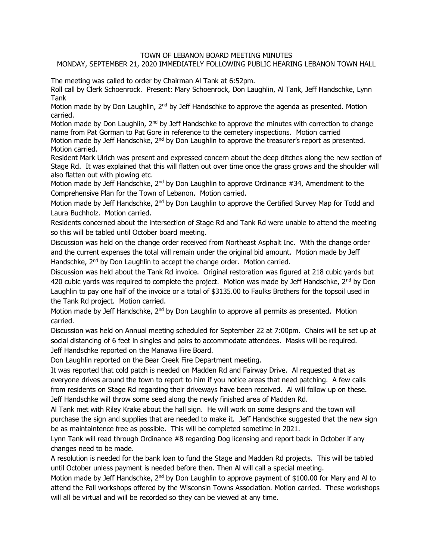## TOWN OF LEBANON BOARD MEETING MINUTES

## MONDAY, SEPTEMBER 21, 2020 IMMEDIATELY FOLLOWING PUBLIC HEARING LEBANON TOWN HALL

The meeting was called to order by Chairman Al Tank at 6:52pm.

Roll call by Clerk Schoenrock. Present: Mary Schoenrock, Don Laughlin, Al Tank, Jeff Handschke, Lynn Tank

Motion made by by Don Laughlin,  $2<sup>nd</sup>$  by Jeff Handschke to approve the agenda as presented. Motion carried.

Motion made by Don Laughlin, 2<sup>nd</sup> by Jeff Handschke to approve the minutes with correction to change name from Pat Gorman to Pat Gore in reference to the cemetery inspections. Motion carried Motion made by Jeff Handschke, 2<sup>nd</sup> by Don Laughlin to approve the treasurer's report as presented. Motion carried.

Resident Mark Ulrich was present and expressed concern about the deep ditches along the new section of Stage Rd. It was explained that this will flatten out over time once the grass grows and the shoulder will also flatten out with plowing etc.

Motion made by Jeff Handschke,  $2<sup>nd</sup>$  by Don Laughlin to approve Ordinance #34, Amendment to the Comprehensive Plan for the Town of Lebanon. Motion carried.

Motion made by Jeff Handschke, 2<sup>nd</sup> by Don Laughlin to approve the Certified Survey Map for Todd and Laura Buchholz. Motion carried.

Residents concerned about the intersection of Stage Rd and Tank Rd were unable to attend the meeting so this will be tabled until October board meeting.

Discussion was held on the change order received from Northeast Asphalt Inc. With the change order and the current expenses the total will remain under the original bid amount. Motion made by Jeff Handschke, 2<sup>nd</sup> by Don Laughlin to accept the change order. Motion carried.

Discussion was held about the Tank Rd invoice. Original restoration was figured at 218 cubic yards but 420 cubic yards was required to complete the project. Motion was made by Jeff Handschke, 2<sup>nd</sup> by Don Laughlin to pay one half of the invoice or a total of \$3135.00 to Faulks Brothers for the topsoil used in the Tank Rd project. Motion carried.

Motion made by Jeff Handschke,  $2<sup>nd</sup>$  by Don Laughlin to approve all permits as presented. Motion carried.

Discussion was held on Annual meeting scheduled for September 22 at 7:00pm. Chairs will be set up at social distancing of 6 feet in singles and pairs to accommodate attendees. Masks will be required. Jeff Handschke reported on the Manawa Fire Board.

Don Laughlin reported on the Bear Creek Fire Department meeting.

It was reported that cold patch is needed on Madden Rd and Fairway Drive. Al requested that as everyone drives around the town to report to him if you notice areas that need patching. A few calls from residents on Stage Rd regarding their driveways have been received. Al will follow up on these. Jeff Handschke will throw some seed along the newly finished area of Madden Rd.

Al Tank met with Riley Krake about the hall sign. He will work on some designs and the town will purchase the sign and supplies that are needed to make it. Jeff Handschke suggested that the new sign be as maintaintence free as possible. This will be completed sometime in 2021.

Lynn Tank will read through Ordinance #8 regarding Dog licensing and report back in October if any changes need to be made.

A resolution is needed for the bank loan to fund the Stage and Madden Rd projects. This will be tabled until October unless payment is needed before then. Then Al will call a special meeting.

Motion made by Jeff Handschke, 2<sup>nd</sup> by Don Laughlin to approve payment of \$100.00 for Mary and Al to attend the Fall workshops offered by the Wisconsin Towns Association. Motion carried. These workshops will all be virtual and will be recorded so they can be viewed at any time.